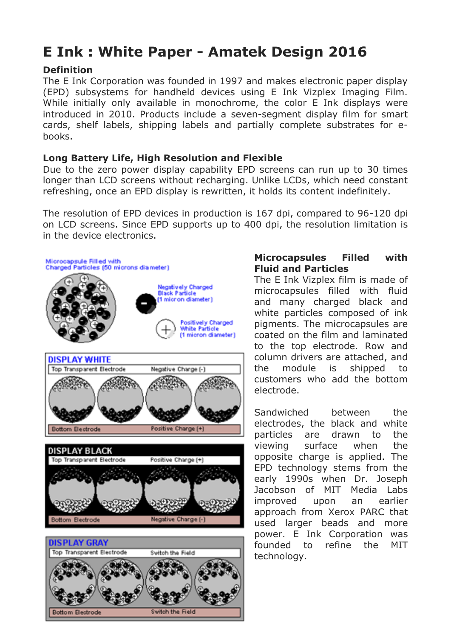# **E Ink : White Paper - Amatek Design 2016**

#### **Definition**

The E Ink Corporation was founded in 1997 and makes electronic paper display (EPD) subsystems for handheld devices using E Ink Vizplex Imaging Film. While initially only available in monochrome, the color E Ink displays were introduced in 2010. Products include a seven-segment display film for smart cards, shelf labels, shipping labels and partially complete substrates for ebooks.

#### **Long Battery Life, High Resolution and Flexible**

Due to the zero power display capability EPD screens can run up to 30 times longer than LCD screens without recharging. Unlike LCDs, which need constant refreshing, once an EPD display is rewritten, it holds its content indefinitely.

The resolution of EPD devices in production is 167 dpi, compared to 96-120 dpi on LCD screens. Since EPD supports up to 400 dpi, the resolution limitation is in the device electronics.



### **Microcapsules Filled with Fluid and Particles**

The E Ink Vizplex film is made of microcapsules filled with fluid and many charged black and white particles composed of ink pigments. The microcapsules are coated on the film and laminated to the top electrode. Row and column drivers are attached, and the module is shipped to customers who add the bottom electrode.

Sandwiched between the electrodes, the black and white particles are drawn to the viewing surface when the opposite charge is applied. The EPD technology stems from the early 1990s when Dr. Joseph Jacobson of MIT Media Labs improved upon an earlier approach from Xerox PARC that used larger beads and more power. E Ink Corporation was founded to refine the MIT technology.